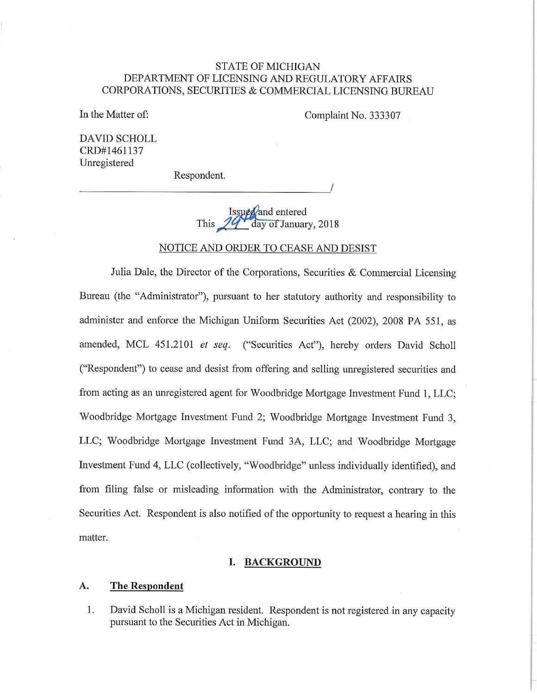## STATE OF MICHIGAN DEPARTMENT OF LICENSING AND REGULATORY AFFAIRS CORPORATIONS, SECURITIES & COMMERCIAL LICENSING BUREAU

In the Matter of:

Complaint No. 333307

DAVID SCHOLL CRD#l461137 Unregistered

Respondent.  $1/$  **Respondent.** 

> Issued and entered day of January, 2018 This

#### NOTICE AND ORDER TO CEASE AND DESIST

Julia Dale, the Director of the Corporations, Securities & Commercial Licensing Bureau (the "Administrator"), pursuant to her statutory authority and responsibility to administer and enforce the Michigan Uniform Securities Act (2002), 2008 PA 551, as amended, MCL 451.2101 *et seq.* ("Securities Act"), hereby orders David Scholl ("Respondent") to cease and desist from offering and selling unregistered securities and from acting as an umegistered agent for Woodbridge Mortgage Investment Fund 1, LLC; Woodbridge Mortgage Investment Fund 2; Woodbridge Mortgage Investment Fund 3, LLC; Woodbridge Mortgage Investment Fund 3A, LLC; and Woodbridge Mortgage Investment Fund 4, LLC (collectively, "Woodbridge" unless individually identified), and from filing false or misleading information with the Administrator, contrary to the Securities Act. Respondent is also notified of the opportunity to request a hearing in this matter.

#### **I. BACKGROUND**

#### **A. The Respondent**

1. David Scholl is a Michigan resident. Respondent is not registered in any capacity pursuant to the Securities Act in Michigan.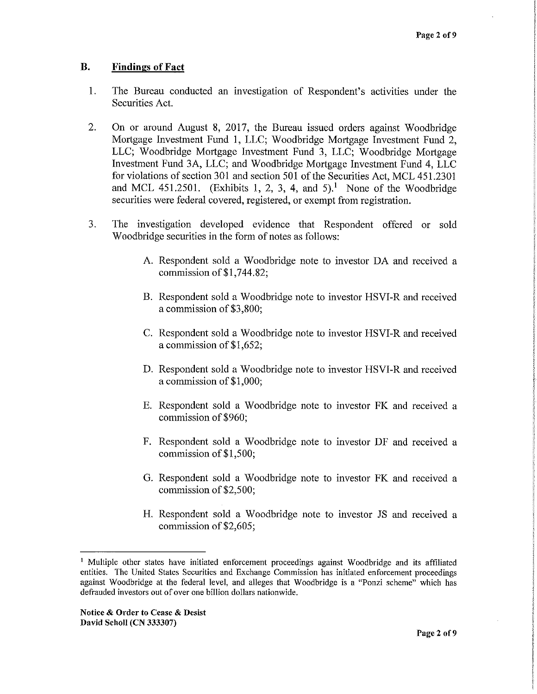## **B. Findings of Fact**

- 1. The Bureau conducted an investigation of Respondent's activities under the Securities Act.
- 2. On or around August **8,** 2017, the Bureau issued orders against Woodbridge Mortgage Investment Fund 1, LLC; Woodbridge Mortgage Investment Fund 2, LLC; Woodbridge Mortgage Investment Fund 3, LLC; Woodbridge Mortgage Investment Fund 3A, LLC; and Woodbridge Mortgage Investment Fund 4, LLC for violations of section 301 and section 501 of the Securities Act, MCL 451.2301 and MCL 451.2501. (Exhibits 1, 2, 3, 4, and 5).<sup>1</sup> None of the Woodbridge securities were federal covered, registered, or exempt from registration.
- 3. The investigation developed evidence that Respondent offered or sold Woodbridge securities in the form of notes as follows:
	- A. Respondent sold a Woodbridge note to investor DA and received a commission of\$1,744.82;
	- B. Respondent sold a Woodbridge note to investor HSVI-R and received a commission of \$3,800;
	- C. Respondent sold a Woodbridge note to investor HSVI-R and received a commission of \$1,652;
	- D. Respondent sold a Woodbridge note to investor HSVI-R and received a commission of \$1,000;
	- E. Respondent sold a Woodbridge note to investor FK and received a commission of \$960;
	- F. Respondent sold a Woodbridge note to investor DF and received a commission of \$1,500;
	- G. Respondent sold a Woodbridge note to investor FK and received a commission of \$2,500;
	- H. Respondent sold a Woodbridge note to investor JS and received a commission of\$2,605;

<sup>&</sup>lt;sup>1</sup> Multiple other states have initiated enforcement proceedings against Woodbridge and its affiliated entities. The United States Securities and Exchange Commission has initiated enforcement proceedings against Woodbridge at the federal level, and alleges that Woodbridge is a "Ponzi scheme" which has defrauded investors out of over one billion dollars nationwide.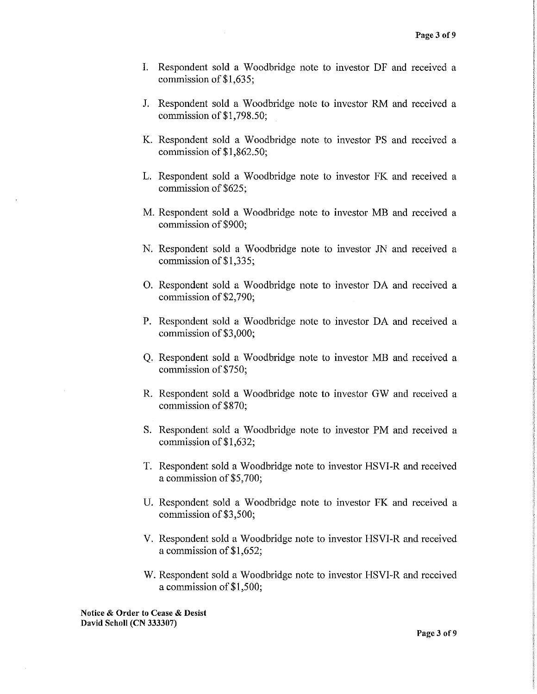- I. Respondent sold a Woodbridge note to investor DF and received a commission of\$1,635;
- J. Respondent sold a Woodbridge note to investor RM and received a commission of\$1,798.50;
- K. Respondent sold a Woodbridge note to investor PS and received a commission of \$1,862.50;
- L. Respondent sold a Woodbridge note to investor FK and received a commission of \$625;
- M. Respondent sold a Woodbridge note to investor MB and received a commission of\$900;
- N. Respondent sold a Woodbridge note to investor JN and received a commission of \$1,335;
- 0. Respondent sold a Woodbridge note to investor DA and received a commission of \$2,790;
- P. Respondent sold a Woodbridge note to investor DA and received a commission of \$3,000;
- Q. Respondent sold a Woodbridge note to investor MB and received a commission of\$750;
- R. Respondent sold a Woodbridge note to investor GW and received a commission of\$870;
- S. Respondent sold a Woodbridge note to investor PM and received a commission of \$1,632;
- T. Respondent sold a Woodbridge note to investor HSVI-R and received a commission of\$5,700;
- U. Respondent sold a Woodbridge note to investor FK and received a commission of \$3,500;
- V. Respondent sold a Woodbridge note to investor HSVI-R and received a commission of \$1,652;
- W. Respondent sold a Woodbridge note to investor HSVI-R and received a commission of\$1,500;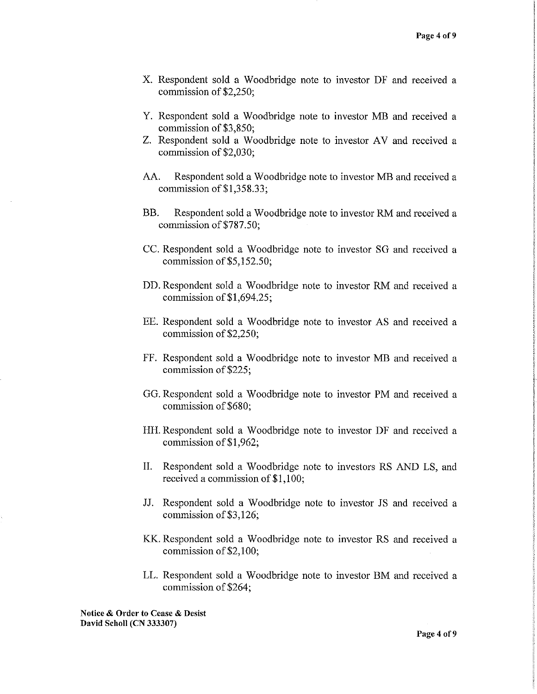- X. Respondent sold a Woodbridge note to investor DF and received a commission of \$2,250;
- Y. Respondent sold a Woodbridge note to investor MB and received a commission of \$3,850;
- Z. Respondent sold a Woodbridge note to investor AV and received a commission of \$2,030;
- AA. Respondent sold a Woodbridge note to investor MB and received a commission of\$1,358.33;
- BB. Respondent sold a Woodbridge note to investor RM and received a commission of\$787.50;
- CC. Respondent sold a Woodbridge note to investor SO and received a commission of \$5,152.50;
- DD. Respondent sold a Woodbridge note to investor RM and received a commission of\$1,694.25;
- EE. Respondent sold a Woodbridge note to investor AS and received a commission of \$2,250;
- FF. Respondent sold a Woodbridge note to investor MB and received a commission of \$225;
- GO. Respondent sold a Woodbridge note to investor PM and received a commission of \$680;
- HH. Respondent sold a Woodbridge note to investor DF and received a commission of \$1,962;
- II. Respondent sold a Woodbridge note to investors RS AND LS, and received a commission of \$1,100;
- JJ. Respondent sold a Woodbridge note to investor JS and received a commission of \$3,126;
- KK. Respondent sold a Woodbridge note to investor RS and received a commission of \$2,100;
- LL. Respondent sold a Woodbridge note to investor BM and received a commission of \$264;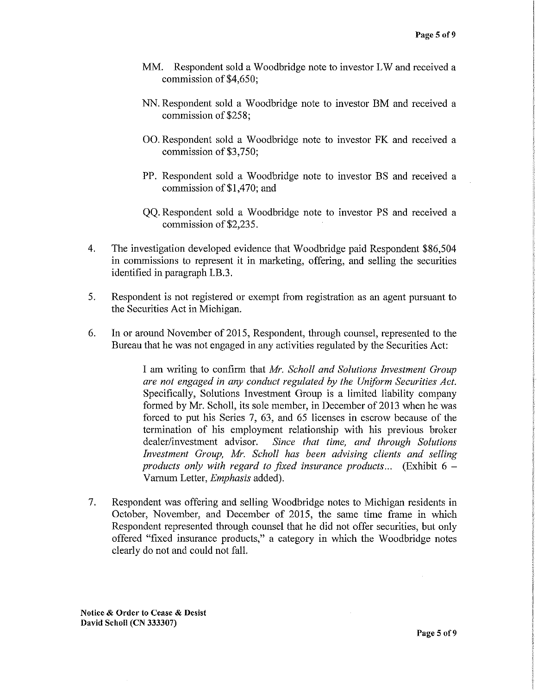- MM. Respondent sold a Woodbridge note to investor LW and received a commission of \$4,650;
- NN. Respondent sold a Woodbridge note to investor BM and received a commission of \$258;
- 00. Respondent sold a Woodbridge note to investor FK and received a commission of\$3,750;
- PP. Respondent sold a Woodbridge note to investor BS and received a commission of\$1,470; and
- QQ. Respondent sold a Woodbridge note to investor PS and received a commission of\$2,235.
- 4. The investigation developed evidence that Woodbridge paid Respondent \$86,504 in commissions to represent it in marketing, offering, and selling the securities identified in paragraph I.B.3.
- 5. Respondent is not registered or exempt from registration as an agent pursuant to the Securities Act in Michigan.
- 6. In or around November of 2015, Respondent, through counsel, represented to the Bureau that he was not engaged in any activities regulated by the Securities Act:

I am writing to confirm that *Mr. Scholl and Solutions Investment Group are not engaged in any conduct regulated by the Uniform Securities Act.*  Specifically, Solutions Investment Group is a limited liability company formed by Mr. Scholl, its sole member, in December of 2013 when he was forced to put his Series 7, 63, and 65 licenses in escrow because of the termination of his employment relationship with his previous broker dealer/investment advisor. *Since that time, and through Solutions Investment Group, Mr. Scholl has been advising clients and selling products only with regard to fixed insurance products...* (Exhibit 6 - Varnum Letter, *Emphasis* added).

7. Respondent was offering and selling Woodbridge notes to Michigan residents in October, November, and December of 2015, the same time frame in which Respondent represented through counsel that he did not offer securities, but only offered "fixed insurance products," a category in which the Woodbridge notes clearly do not and could not fall.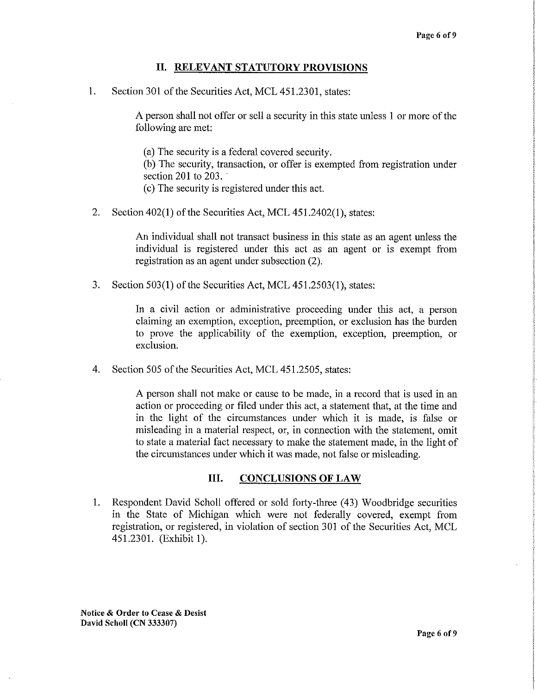### **II. RELEVANT STATUTORY PROVISIONS**

1. Section 301 of the Securities Act, MCL 451.2301, states:

A person shall not offer or sell a security in this state unless 1 or more of the following are met:

(a) The security is a federal covered security. (b) The security, transaction, or offer is exempted from registration under section  $201$  to  $203$ . ( c) The security is registered under this act.

2. Section 402(1) of the Securities Act, MCL 451.2402(1 ), states:

An individual shall not transact business in this state as an agent unless the individual is registered under this act as an agent or is exempt from registration as an agent under subsection (2).

3. Section 503(1) of the Securities Act, MCL 451.2503(1), states:

In a civil action or administrative proceeding under this act, a person claiming an exemption, exception, preemption, or exclusion has the burden to prove the applicability of the exemption, exception, preemption, or exclusion.

4. Section 505 of the Securities Act, MCL 451.2505, states:

A person shall not make or cause to be made, in a record that is used in an action or proceeding or filed under this act, a statement that, at the time and in the light of the circumstances under which it is made, is false or misleading in a material respect, or, in connection with the statement, omit to state a material fact necessary to make the statement made, in the light of the circumstances under which it was made, not false or misleading.

#### **III. CONCLUSIONS OF LAW**

1. Respondent David Scholl offered or sold forty-three (43) Woodbridge securities in the State of Michigan which were not federally covered, exempt from registration, or registered, in violation of section 301 of the Securities Act, MCL 451.2301. (Exhibit 1).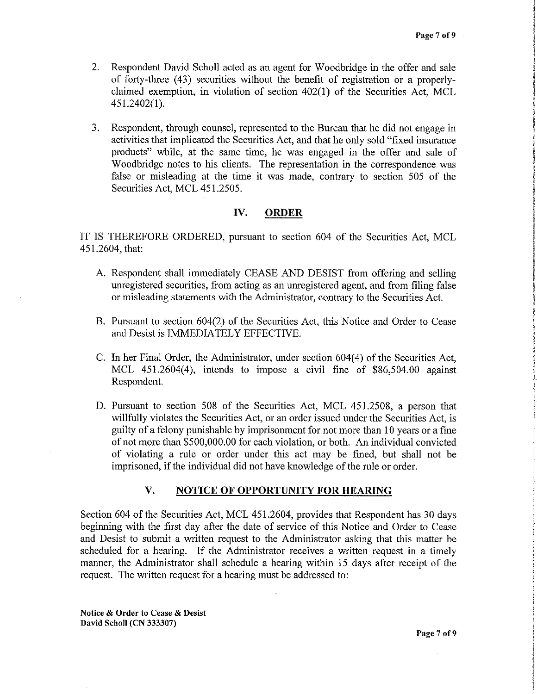- 2. Respondent David Scholl acted as an agent for Woodbridge in the offer and sale of forty-three (43) securities without the benefit of registration or a properlyclaimed exemption, in violation of section 402(1) of the Securities Act, MCL 451.2402(1 ).
- 3. Respondent, through counsel, represented to the Bureau that he did not engage in activities that implicated the Securities Act, and that he only sold "fixed insurance products" while, at the same time, he was engaged in the offer and sale of Woodbridge notes to his clients. The representation in the correspondence was false or misleading at the time it was made, contrary to section 505 of the Securities Act, MCL 451.2505.

## **IV. ORDER**

IT IS THEREFORE ORDERED, pursuant to section 604 of the Securities Act, MCL 451.2604, that:

- A. Respondent shall immediately CEASE AND DESIST from offering and selling unregistered securities, from acting as an unregistered agent, and from filing false or misleading statements with the Administrator, contrary to the Securities Act.
- B. Pursuant to section 604(2) of the Securities Act, this Notice and Order to Cease and Desist is IMMEDIATELY EFFECTIVE.
- C. In her Final Order, the Administrator, under section 604(4) of the Securities Act, MCL 451.2604(4), intends to impose a civil fine of \$86,504.00 against Respondent.
- D. Pursuant to section 508 of the Securities Act, MCL 451.2508, a person that willfully violates the Securities Act, or an order issued under the Securities Act, is guilty of a felony punishable by imprisonment for not more than IO years or a fine of not more than \$500,000.00 for each violation, or both. An individual convicted of violating a rule or order under this act may be fined, but shall not be imprisoned, if the individual did not have knowledge of the rule or order.

### **v. NOTICE OF OPPORTUNITY FOR HEARING**

Section 604 of the Securities Act, MCL 451.2604, provides that Respondent has 30 days beginning with the first day after the date of service of this Notice and Order to Cease and Desist to submit a written request to the Administrator asking that this matter be scheduled for a hearing. If the Administrator receives a written request in a timely manner, the Administrator shall schedule a hearing within 15 days after receipt of the request. The written request for a hearing must be addressed to: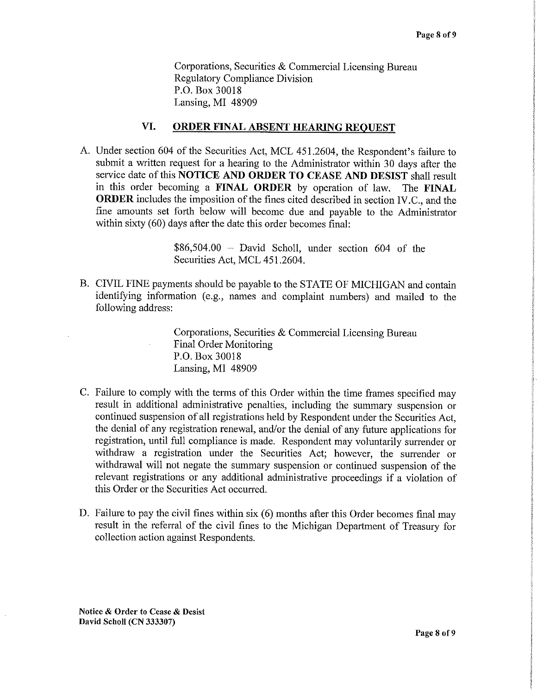Corporations, Securities & Commercial Licensing Bureau Regulatory Compliance Division P.O. Box 30018 Lansing, MI 48909

#### **VI. ORDER FINAL ABSENT HEARING REQUEST**

A. Under section 604 of the Securities Act, MCL 451.2604, the Respondent's failure to submit a written request for a hearing to the Administrator within 30 days after the service date of this **NOTICE AND ORDER TO CEASE AND DESIST** shall result in this order becoming a **FINAL ORDER** by operation of law. The **FINAL ORDER** includes the imposition of the fines cited described in section IV.C., and the fine amounts set forth below will become due and payable to the Administrator within sixty (60) days after the date this order becomes final:

> $$86,504.00$  - David Scholl, under section 604 of the Securities Act, MCL 451.2604.

B. CIVIL FINE payments should be payable to the STATE OF MICHIGAN and contain identifying information (e.g., names and complaint numbers) and mailed to the following address:

> Corporations, Securities & Commercial Licensing Bureau Final Order Monitoring P.O. Box 30018 Lansing, MI 48909

- C. Failure to comply with the terms of this Order within the time frames specified may result in additional administrative penalties, including the summary suspension or continued suspension of all registrations held by Respondent under the Securities Act, the denial of any registration renewal, and/or the denial of any future applications for registration, until full compliance is made. Respondent may voluntarily surrender or withdraw a registration under the Securities Act; however, the surrender or withdrawal will not negate the summary suspension or continued suspension of the relevant registrations or any additional administrative proceedings if a violation of this Order or the Securities Act occurred.
- D. Failure to pay the civil fines within six (6) months after this Order becomes final may result in the referral of the civil fines to the Michigan Department of Treasury for collection action against Respondents.